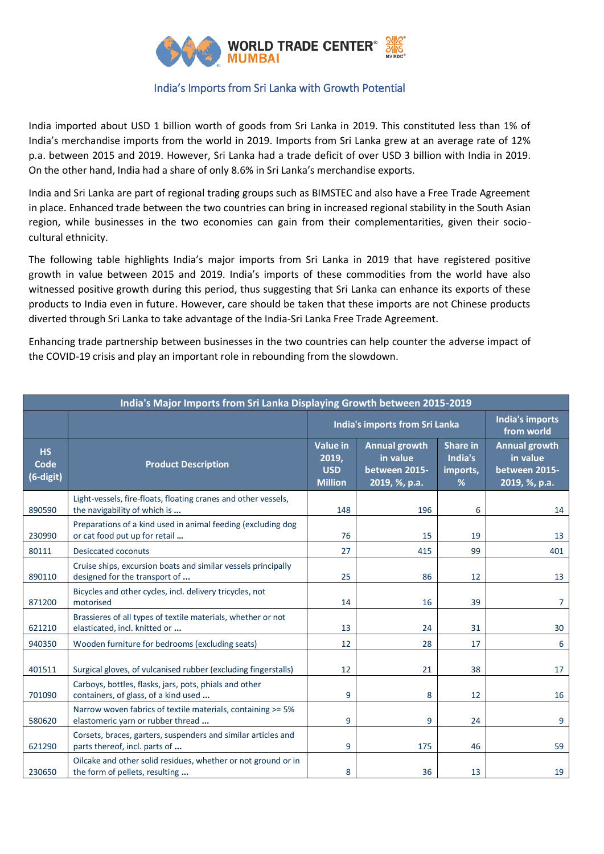

## India's Imports from Sri Lanka with Growth Potential

India imported about USD 1 billion worth of goods from Sri Lanka in 2019. This constituted less than 1% of India's merchandise imports from the world in 2019. Imports from Sri Lanka grew at an average rate of 12% p.a. between 2015 and 2019. However, Sri Lanka had a trade deficit of over USD 3 billion with India in 2019. On the other hand, India had a share of only 8.6% in Sri Lanka's merchandise exports.

India and Sri Lanka are part of regional trading groups such as BIMSTEC and also have a Free Trade Agreement in place. Enhanced trade between the two countries can bring in increased regional stability in the South Asian region, while businesses in the two economies can gain from their complementarities, given their sociocultural ethnicity.

The following table highlights India's major imports from Sri Lanka in 2019 that have registered positive growth in value between 2015 and 2019. India's imports of these commodities from the world have also witnessed positive growth during this period, thus suggesting that Sri Lanka can enhance its exports of these products to India even in future. However, care should be taken that these imports are not Chinese products diverted through Sri Lanka to take advantage of the India-Sri Lanka Free Trade Agreement.

Enhancing trade partnership between businesses in the two countries can help counter the adverse impact of the COVID-19 crisis and play an important role in rebounding from the slowdown.

| India's Major Imports from Sri Lanka Displaying Growth between 2015-2019 |                                                                                                  |                                                          |                                                                    |                                             |                                                                    |  |  |  |
|--------------------------------------------------------------------------|--------------------------------------------------------------------------------------------------|----------------------------------------------------------|--------------------------------------------------------------------|---------------------------------------------|--------------------------------------------------------------------|--|--|--|
|                                                                          |                                                                                                  | India's imports from Sri Lanka                           |                                                                    |                                             | India's imports<br>from world                                      |  |  |  |
| <b>HS</b><br>Code<br>(6-digit)                                           | <b>Product Description</b>                                                                       | <b>Value in</b><br>2019,<br><b>USD</b><br><b>Million</b> | <b>Annual growth</b><br>in value<br>between 2015-<br>2019, %, p.a. | <b>Share in</b><br>India's<br>imports,<br>% | <b>Annual growth</b><br>in value<br>between 2015-<br>2019, %, p.a. |  |  |  |
| 890590                                                                   | Light-vessels, fire-floats, floating cranes and other vessels,<br>the navigability of which is   | 148                                                      | 196                                                                | 6                                           | 14                                                                 |  |  |  |
| 230990                                                                   | Preparations of a kind used in animal feeding (excluding dog<br>or cat food put up for retail    | 76                                                       | 15                                                                 | 19                                          | 13                                                                 |  |  |  |
| 80111                                                                    | <b>Desiccated coconuts</b>                                                                       | 27                                                       | 415                                                                | 99                                          | 401                                                                |  |  |  |
| 890110                                                                   | Cruise ships, excursion boats and similar vessels principally<br>designed for the transport of   | 25                                                       | 86                                                                 | 12                                          | 13                                                                 |  |  |  |
| 871200                                                                   | Bicycles and other cycles, incl. delivery tricycles, not<br>motorised                            | 14                                                       | 16                                                                 | 39                                          | 7                                                                  |  |  |  |
| 621210                                                                   | Brassieres of all types of textile materials, whether or not<br>elasticated, incl. knitted or    | 13                                                       | 24                                                                 | 31                                          | 30                                                                 |  |  |  |
| 940350                                                                   | Wooden furniture for bedrooms (excluding seats)                                                  | 12                                                       | 28                                                                 | 17                                          | 6                                                                  |  |  |  |
| 401511                                                                   | Surgical gloves, of vulcanised rubber (excluding fingerstalls)                                   | 12                                                       | 21                                                                 | 38                                          | 17                                                                 |  |  |  |
| 701090                                                                   | Carboys, bottles, flasks, jars, pots, phials and other<br>containers, of glass, of a kind used   | 9                                                        | 8                                                                  | 12                                          | 16                                                                 |  |  |  |
| 580620                                                                   | Narrow woven fabrics of textile materials, containing >= 5%<br>elastomeric yarn or rubber thread | 9                                                        | 9                                                                  | 24                                          | 9                                                                  |  |  |  |
| 621290                                                                   | Corsets, braces, garters, suspenders and similar articles and<br>parts thereof, incl. parts of   | 9                                                        | 175                                                                | 46                                          | 59                                                                 |  |  |  |
| 230650                                                                   | Oilcake and other solid residues, whether or not ground or in<br>the form of pellets, resulting  | 8                                                        | 36                                                                 | 13                                          | 19                                                                 |  |  |  |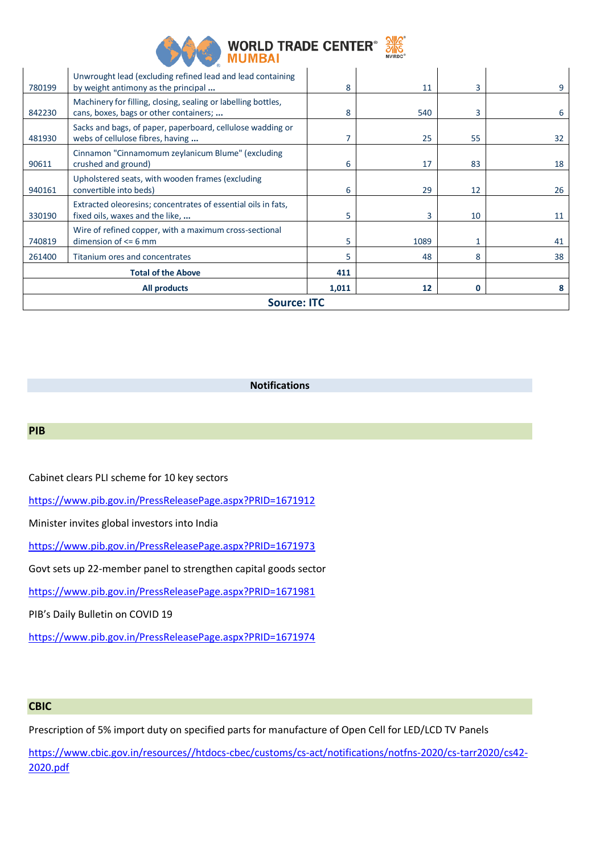

| All products<br><b>Source: ITC</b> |                                                                                                         |     | 12   | 0  | 8  |
|------------------------------------|---------------------------------------------------------------------------------------------------------|-----|------|----|----|
|                                    | <b>Total of the Above</b>                                                                               | 411 |      |    |    |
| 261400                             | Titanium ores and concentrates                                                                          | 5   | 48   | 8  | 38 |
| 740819                             | Wire of refined copper, with a maximum cross-sectional<br>dimension of $\leq$ 6 mm                      | 5   | 1089 |    | 41 |
| 330190                             | Extracted oleoresins; concentrates of essential oils in fats,<br>fixed oils, waxes and the like,        | 5   | 3    | 10 | 11 |
| 940161                             | Upholstered seats, with wooden frames (excluding<br>convertible into beds)                              | 6   | 29   | 12 | 26 |
| 90611                              | Cinnamon "Cinnamomum zeylanicum Blume" (excluding<br>crushed and ground)                                | 6   | 17   | 83 | 18 |
| 481930                             | Sacks and bags, of paper, paperboard, cellulose wadding or<br>webs of cellulose fibres, having          | 7   | 25   | 55 | 32 |
| 842230                             | Machinery for filling, closing, sealing or labelling bottles,<br>cans, boxes, bags or other containers; | 8   | 540  | 3  | 6  |
| 780199                             | Unwrought lead (excluding refined lead and lead containing<br>by weight antimony as the principal       | 8   | 11   | 3  | 9  |

## **Notifications**

## **PIB**

Cabinet clears PLI scheme for 10 key sectors

<https://www.pib.gov.in/PressReleasePage.aspx?PRID=1671912>

Minister invites global investors into India

<https://www.pib.gov.in/PressReleasePage.aspx?PRID=1671973>

Govt sets up 22-member panel to strengthen capital goods sector

<https://www.pib.gov.in/PressReleasePage.aspx?PRID=1671981>

PIB's Daily Bulletin on COVID 19

<https://www.pib.gov.in/PressReleasePage.aspx?PRID=1671974>

## **CBIC**

Prescription of 5% import duty on specified parts for manufacture of Open Cell for LED/LCD TV Panels

[https://www.cbic.gov.in/resources//htdocs-cbec/customs/cs-act/notifications/notfns-2020/cs-tarr2020/cs42-](https://www.cbic.gov.in/resources/htdocs-cbec/customs/cs-act/notifications/notfns-2020/cs-tarr2020/cs42-2020.pdf) [2020.pdf](https://www.cbic.gov.in/resources/htdocs-cbec/customs/cs-act/notifications/notfns-2020/cs-tarr2020/cs42-2020.pdf)